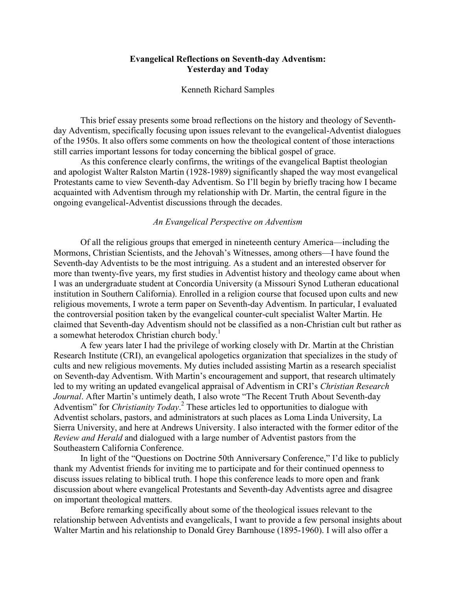# Evangelical Reflections on Seventh-day Adventism: Yesterday and Today

#### Kenneth Richard Samples

This brief essay presents some broad reflections on the history and theology of Seventhday Adventism, specifically focusing upon issues relevant to the evangelical-Adventist dialogues of the 1950s. It also offers some comments on how the theological content of those interactions still carries important lessons for today concerning the biblical gospel of grace.

As this conference clearly confirms, the writings of the evangelical Baptist theologian and apologist Walter Ralston Martin (1928-1989) significantly shaped the way most evangelical Protestants came to view Seventh-day Adventism. So I'll begin by briefly tracing how I became acquainted with Adventism through my relationship with Dr. Martin, the central figure in the ongoing evangelical-Adventist discussions through the decades.

## An Evangelical Perspective on Adventism

Of all the religious groups that emerged in nineteenth century America—including the Mormons, Christian Scientists, and the Jehovah's Witnesses, among others—I have found the Seventh-day Adventists to be the most intriguing. As a student and an interested observer for more than twenty-five years, my first studies in Adventist history and theology came about when I was an undergraduate student at Concordia University (a Missouri Synod Lutheran educational institution in Southern California). Enrolled in a religion course that focused upon cults and new religious movements, I wrote a term paper on Seventh-day Adventism. In particular, I evaluated the controversial position taken by the evangelical counter-cult specialist Walter Martin. He claimed that Seventh-day Adventism should not be classified as a non-Christian cult but rather as a somewhat heterodox Christian church body.<sup>1</sup>

A few years later I had the privilege of working closely with Dr. Martin at the Christian Research Institute (CRI), an evangelical apologetics organization that specializes in the study of cults and new religious movements. My duties included assisting Martin as a research specialist on Seventh-day Adventism. With Martin's encouragement and support, that research ultimately led to my writing an updated evangelical appraisal of Adventism in CRI's Christian Research Journal. After Martin's untimely death, I also wrote "The Recent Truth About Seventh-day Adventism" for *Christianity Today*.<sup>2</sup> These articles led to opportunities to dialogue with Adventist scholars, pastors, and administrators at such places as Loma Linda University, La Sierra University, and here at Andrews University. I also interacted with the former editor of the Review and Herald and dialogued with a large number of Adventist pastors from the Southeastern California Conference.

In light of the "Questions on Doctrine 50th Anniversary Conference," I'd like to publicly thank my Adventist friends for inviting me to participate and for their continued openness to discuss issues relating to biblical truth. I hope this conference leads to more open and frank discussion about where evangelical Protestants and Seventh-day Adventists agree and disagree on important theological matters.

Before remarking specifically about some of the theological issues relevant to the relationship between Adventists and evangelicals, I want to provide a few personal insights about Walter Martin and his relationship to Donald Grey Barnhouse (1895-1960). I will also offer a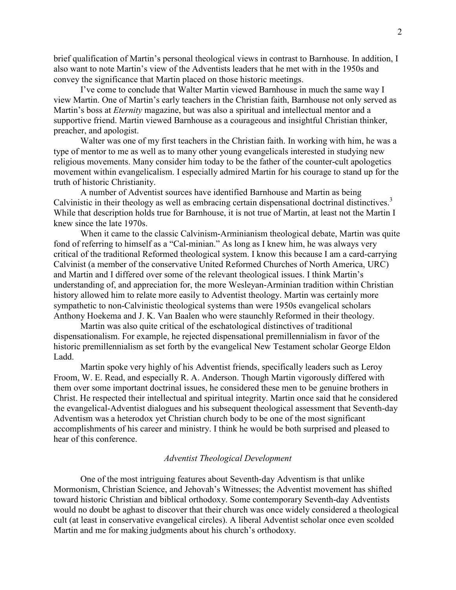brief qualification of Martin's personal theological views in contrast to Barnhouse. In addition, I also want to note Martin's view of the Adventists leaders that he met with in the 1950s and convey the significance that Martin placed on those historic meetings.

I've come to conclude that Walter Martin viewed Barnhouse in much the same way I view Martin. One of Martin's early teachers in the Christian faith, Barnhouse not only served as Martin's boss at Eternity magazine, but was also a spiritual and intellectual mentor and a supportive friend. Martin viewed Barnhouse as a courageous and insightful Christian thinker, preacher, and apologist.

Walter was one of my first teachers in the Christian faith. In working with him, he was a type of mentor to me as well as to many other young evangelicals interested in studying new religious movements. Many consider him today to be the father of the counter-cult apologetics movement within evangelicalism. I especially admired Martin for his courage to stand up for the truth of historic Christianity.

A number of Adventist sources have identified Barnhouse and Martin as being Calvinistic in their theology as well as embracing certain dispensational doctrinal distinctives.<sup>3</sup> While that description holds true for Barnhouse, it is not true of Martin, at least not the Martin I knew since the late 1970s.

When it came to the classic Calvinism-Arminianism theological debate, Martin was quite fond of referring to himself as a "Cal-minian." As long as I knew him, he was always very critical of the traditional Reformed theological system. I know this because I am a card-carrying Calvinist (a member of the conservative United Reformed Churches of North America, URC) and Martin and I differed over some of the relevant theological issues. I think Martin's understanding of, and appreciation for, the more Wesleyan-Arminian tradition within Christian history allowed him to relate more easily to Adventist theology. Martin was certainly more sympathetic to non-Calvinistic theological systems than were 1950s evangelical scholars Anthony Hoekema and J. K. Van Baalen who were staunchly Reformed in their theology.

Martin was also quite critical of the eschatological distinctives of traditional dispensationalism. For example, he rejected dispensational premillennialism in favor of the historic premillennialism as set forth by the evangelical New Testament scholar George Eldon Ladd.

Martin spoke very highly of his Adventist friends, specifically leaders such as Leroy Froom, W. E. Read, and especially R. A. Anderson. Though Martin vigorously differed with them over some important doctrinal issues, he considered these men to be genuine brothers in Christ. He respected their intellectual and spiritual integrity. Martin once said that he considered the evangelical-Adventist dialogues and his subsequent theological assessment that Seventh-day Adventism was a heterodox yet Christian church body to be one of the most significant accomplishments of his career and ministry. I think he would be both surprised and pleased to hear of this conference.

## Adventist Theological Development

One of the most intriguing features about Seventh-day Adventism is that unlike Mormonism, Christian Science, and Jehovah's Witnesses; the Adventist movement has shifted toward historic Christian and biblical orthodoxy. Some contemporary Seventh-day Adventists would no doubt be aghast to discover that their church was once widely considered a theological cult (at least in conservative evangelical circles). A liberal Adventist scholar once even scolded Martin and me for making judgments about his church's orthodoxy.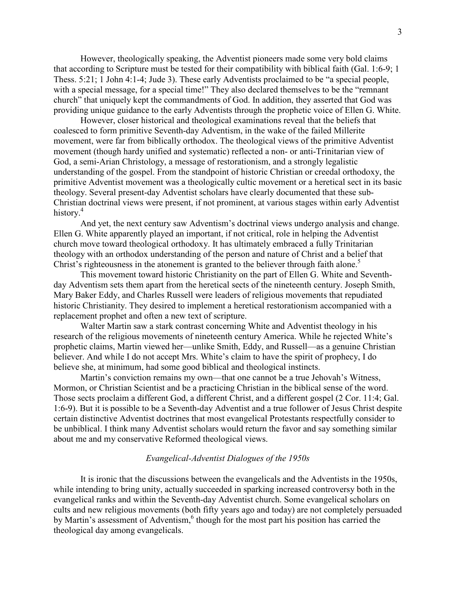However, theologically speaking, the Adventist pioneers made some very bold claims that according to Scripture must be tested for their compatibility with biblical faith (Gal. 1:6-9; 1 Thess. 5:21; 1 John 4:1-4; Jude 3). These early Adventists proclaimed to be "a special people, with a special message, for a special time!" They also declared themselves to be the "remnant church" that uniquely kept the commandments of God. In addition, they asserted that God was providing unique guidance to the early Adventists through the prophetic voice of Ellen G. White.

However, closer historical and theological examinations reveal that the beliefs that coalesced to form primitive Seventh-day Adventism, in the wake of the failed Millerite movement, were far from biblically orthodox. The theological views of the primitive Adventist movement (though hardy unified and systematic) reflected a non- or anti-Trinitarian view of God, a semi-Arian Christology, a message of restorationism, and a strongly legalistic understanding of the gospel. From the standpoint of historic Christian or creedal orthodoxy, the primitive Adventist movement was a theologically cultic movement or a heretical sect in its basic theology. Several present-day Adventist scholars have clearly documented that these sub-Christian doctrinal views were present, if not prominent, at various stages within early Adventist history.<sup>4</sup>

And yet, the next century saw Adventism's doctrinal views undergo analysis and change. Ellen G. White apparently played an important, if not critical, role in helping the Adventist church move toward theological orthodoxy. It has ultimately embraced a fully Trinitarian theology with an orthodox understanding of the person and nature of Christ and a belief that Christ's righteousness in the atonement is granted to the believer through faith alone.<sup>5</sup>

This movement toward historic Christianity on the part of Ellen G. White and Seventhday Adventism sets them apart from the heretical sects of the nineteenth century. Joseph Smith, Mary Baker Eddy, and Charles Russell were leaders of religious movements that repudiated historic Christianity. They desired to implement a heretical restorationism accompanied with a replacement prophet and often a new text of scripture.

Walter Martin saw a stark contrast concerning White and Adventist theology in his research of the religious movements of nineteenth century America. While he rejected White's prophetic claims, Martin viewed her—unlike Smith, Eddy, and Russell—as a genuine Christian believer. And while I do not accept Mrs. White's claim to have the spirit of prophecy, I do believe she, at minimum, had some good biblical and theological instincts.

Martin's conviction remains my own—that one cannot be a true Jehovah's Witness, Mormon, or Christian Scientist and be a practicing Christian in the biblical sense of the word. Those sects proclaim a different God, a different Christ, and a different gospel (2 Cor. 11:4; Gal. 1:6-9). But it is possible to be a Seventh-day Adventist and a true follower of Jesus Christ despite certain distinctive Adventist doctrines that most evangelical Protestants respectfully consider to be unbiblical. I think many Adventist scholars would return the favor and say something similar about me and my conservative Reformed theological views.

#### Evangelical-Adventist Dialogues of the 1950s

It is ironic that the discussions between the evangelicals and the Adventists in the 1950s, while intending to bring unity, actually succeeded in sparking increased controversy both in the evangelical ranks and within the Seventh-day Adventist church. Some evangelical scholars on cults and new religious movements (both fifty years ago and today) are not completely persuaded by Martin's assessment of Adventism,<sup>6</sup> though for the most part his position has carried the theological day among evangelicals.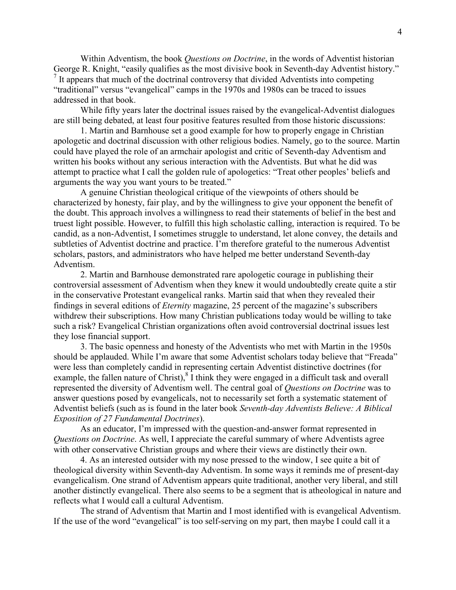Within Adventism, the book *Questions on Doctrine*, in the words of Adventist historian George R. Knight, "easily qualifies as the most divisive book in Seventh-day Adventist history." <sup>7</sup> It appears that much of the doctrinal controversy that divided Adventists into competing "traditional" versus "evangelical" camps in the 1970s and 1980s can be traced to issues addressed in that book.

While fifty years later the doctrinal issues raised by the evangelical-Adventist dialogues are still being debated, at least four positive features resulted from those historic discussions:

1. Martin and Barnhouse set a good example for how to properly engage in Christian apologetic and doctrinal discussion with other religious bodies. Namely, go to the source. Martin could have played the role of an armchair apologist and critic of Seventh-day Adventism and written his books without any serious interaction with the Adventists. But what he did was attempt to practice what I call the golden rule of apologetics: "Treat other peoples' beliefs and arguments the way you want yours to be treated."

A genuine Christian theological critique of the viewpoints of others should be characterized by honesty, fair play, and by the willingness to give your opponent the benefit of the doubt. This approach involves a willingness to read their statements of belief in the best and truest light possible. However, to fulfill this high scholastic calling, interaction is required. To be candid, as a non-Adventist, I sometimes struggle to understand, let alone convey, the details and subtleties of Adventist doctrine and practice. I'm therefore grateful to the numerous Adventist scholars, pastors, and administrators who have helped me better understand Seventh-day Adventism.

2. Martin and Barnhouse demonstrated rare apologetic courage in publishing their controversial assessment of Adventism when they knew it would undoubtedly create quite a stir in the conservative Protestant evangelical ranks. Martin said that when they revealed their findings in several editions of Eternity magazine, 25 percent of the magazine's subscribers withdrew their subscriptions. How many Christian publications today would be willing to take such a risk? Evangelical Christian organizations often avoid controversial doctrinal issues lest they lose financial support.

3. The basic openness and honesty of the Adventists who met with Martin in the 1950s should be applauded. While I'm aware that some Adventist scholars today believe that "Freada" were less than completely candid in representing certain Adventist distinctive doctrines (for example, the fallen nature of Christ), $8\overline{1}$  think they were engaged in a difficult task and overall represented the diversity of Adventism well. The central goal of Questions on Doctrine was to answer questions posed by evangelicals, not to necessarily set forth a systematic statement of Adventist beliefs (such as is found in the later book Seventh-day Adventists Believe: A Biblical Exposition of 27 Fundamental Doctrines).

As an educator, I'm impressed with the question-and-answer format represented in Questions on Doctrine. As well, I appreciate the careful summary of where Adventists agree with other conservative Christian groups and where their views are distinctly their own.

4. As an interested outsider with my nose pressed to the window, I see quite a bit of theological diversity within Seventh-day Adventism. In some ways it reminds me of present-day evangelicalism. One strand of Adventism appears quite traditional, another very liberal, and still another distinctly evangelical. There also seems to be a segment that is atheological in nature and reflects what I would call a cultural Adventism.

The strand of Adventism that Martin and I most identified with is evangelical Adventism. If the use of the word "evangelical" is too self-serving on my part, then maybe I could call it a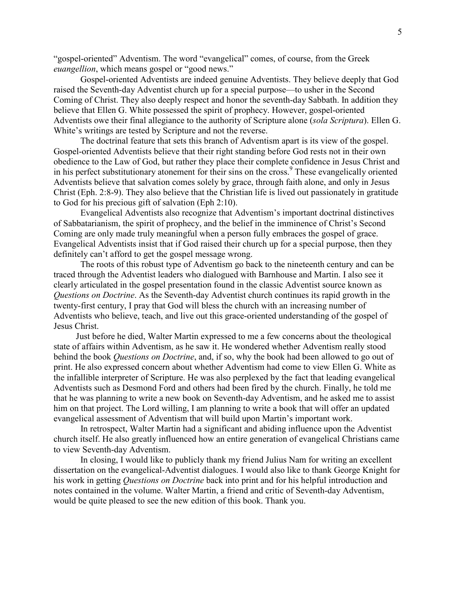"gospel-oriented" Adventism. The word "evangelical" comes, of course, from the Greek euangellion, which means gospel or "good news."

Gospel-oriented Adventists are indeed genuine Adventists. They believe deeply that God raised the Seventh-day Adventist church up for a special purpose—to usher in the Second Coming of Christ. They also deeply respect and honor the seventh-day Sabbath. In addition they believe that Ellen G. White possessed the spirit of prophecy. However, gospel-oriented Adventists owe their final allegiance to the authority of Scripture alone (sola Scriptura). Ellen G. White's writings are tested by Scripture and not the reverse.

The doctrinal feature that sets this branch of Adventism apart is its view of the gospel. Gospel-oriented Adventists believe that their right standing before God rests not in their own obedience to the Law of God, but rather they place their complete confidence in Jesus Christ and in his perfect substitutionary atonement for their sins on the cross.<sup>9</sup> These evangelically oriented Adventists believe that salvation comes solely by grace, through faith alone, and only in Jesus Christ (Eph. 2:8-9). They also believe that the Christian life is lived out passionately in gratitude to God for his precious gift of salvation (Eph 2:10).

Evangelical Adventists also recognize that Adventism's important doctrinal distinctives of Sabbatarianism, the spirit of prophecy, and the belief in the imminence of Christ's Second Coming are only made truly meaningful when a person fully embraces the gospel of grace. Evangelical Adventists insist that if God raised their church up for a special purpose, then they definitely can't afford to get the gospel message wrong.

The roots of this robust type of Adventism go back to the nineteenth century and can be traced through the Adventist leaders who dialogued with Barnhouse and Martin. I also see it clearly articulated in the gospel presentation found in the classic Adventist source known as Questions on Doctrine. As the Seventh-day Adventist church continues its rapid growth in the twenty-first century, I pray that God will bless the church with an increasing number of Adventists who believe, teach, and live out this grace-oriented understanding of the gospel of Jesus Christ.

 Just before he died, Walter Martin expressed to me a few concerns about the theological state of affairs within Adventism, as he saw it. He wondered whether Adventism really stood behind the book *Questions on Doctrine*, and, if so, why the book had been allowed to go out of print. He also expressed concern about whether Adventism had come to view Ellen G. White as the infallible interpreter of Scripture. He was also perplexed by the fact that leading evangelical Adventists such as Desmond Ford and others had been fired by the church. Finally, he told me that he was planning to write a new book on Seventh-day Adventism, and he asked me to assist him on that project. The Lord willing, I am planning to write a book that will offer an updated evangelical assessment of Adventism that will build upon Martin's important work.

 In retrospect, Walter Martin had a significant and abiding influence upon the Adventist church itself. He also greatly influenced how an entire generation of evangelical Christians came to view Seventh-day Adventism.

In closing, I would like to publicly thank my friend Julius Nam for writing an excellent dissertation on the evangelical-Adventist dialogues. I would also like to thank George Knight for his work in getting Questions on Doctrine back into print and for his helpful introduction and notes contained in the volume. Walter Martin, a friend and critic of Seventh-day Adventism, would be quite pleased to see the new edition of this book. Thank you.